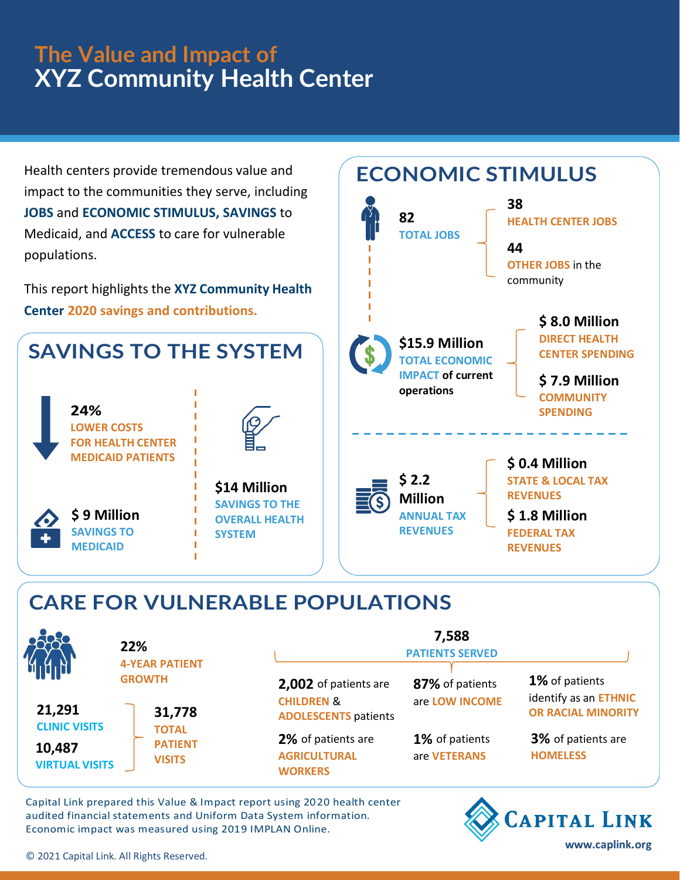## **The Value and Impact of XYZ Community Health Center**

Health centers provide tremendous value and impact to the communities they serve, including **JOBS** and **ECONOMIC STIMULUS, SAVINGS** to Medicaid, and **ACCESS** to care for vulnerable populations.



**82**

**TOTAL JOBS**

**38**

**ECONOMIC STIMULUS**

**44**

**HEALTH CENTER JOBS**

**OTHER JOBS** in the

## **CARE FOR VULNERABLE POPULATIONS**

|                                 | 22%<br><b>4-YEAR PATIENT</b><br><b>GROWTH</b><br>31,778<br><b>TOTAL</b><br><b>PATIENT</b><br><b>VISITS</b> | 7,588<br><b>PATIENTS SERVED</b>                             |                                |                                         |
|---------------------------------|------------------------------------------------------------------------------------------------------------|-------------------------------------------------------------|--------------------------------|-----------------------------------------|
|                                 |                                                                                                            | 2,002 of patients are                                       | 87% of patients                | 1% of patients<br>identify as an ETHNIC |
| 21,291<br><b>CLINIC VISITS</b>  |                                                                                                            | <b>CHILDREN &amp;</b><br><b>ADOLESCENTS patients</b>        | are LOW INCOME                 | <b>OR RACIAL MINORITY</b>               |
| 10,487<br><b>VIRTUAL VISITS</b> |                                                                                                            | 2% of patients are<br><b>AGRICULTURAL</b><br><b>WORKERS</b> | 1% of patients<br>are VETERANS | 3% of patients are<br><b>HOMELESS</b>   |

Capital Link prepared this Value & Impact report using 2020 health center audited financial statements and Uniform Data System information. Economic impact was measured using 2019 IMPLAN Online.